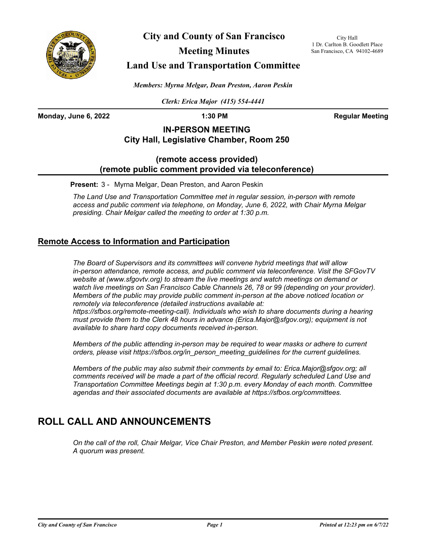

**City and County of San Francisco**

**Meeting Minutes**

City Hall 1 Dr. Carlton B. Goodlett Place San Francisco, CA 94102-4689

## **Land Use and Transportation Committee**

*Members: Myrna Melgar, Dean Preston, Aaron Peskin*

*Clerk: Erica Major (415) 554-4441*

**Monday, June 6, 2022 1:30 PM 1:30 PM Regular Meeting** 

## **IN-PERSON MEETING City Hall, Legislative Chamber, Room 250**

## **(remote access provided) (remote public comment provided via teleconference)**

**Present:** 3 - Myrna Melgar, Dean Preston, and Aaron Peskin

*The Land Use and Transportation Committee met in regular session, in-person with remote access and public comment via telephone, on Monday, June 6, 2022, with Chair Myrna Melgar presiding. Chair Melgar called the meeting to order at 1:30 p.m.*

## **Remote Access to Information and Participation**

*The Board of Supervisors and its committees will convene hybrid meetings that will allow in-person attendance, remote access, and public comment via teleconference. Visit the SFGovTV website at (www.sfgovtv.org) to stream the live meetings and watch meetings on demand or*  watch live meetings on San Francisco Cable Channels 26, 78 or 99 (depending on your provider). *Members of the public may provide public comment in-person at the above noticed location or remotely via teleconference (detailed instructions available at: https://sfbos.org/remote-meeting-call). Individuals who wish to share documents during a hearing must provide them to the Clerk 48 hours in advance (Erica.Major@sfgov.org); equipment is not* 

*available to share hard copy documents received in-person.*

*Members of the public attending in-person may be required to wear masks or adhere to current orders, please visit https://sfbos.org/in\_person\_meeting\_guidelines for the current guidelines.*

*Members of the public may also submit their comments by email to: Erica.Major@sfgov.org; all comments received will be made a part of the official record. Regularly scheduled Land Use and Transportation Committee Meetings begin at 1:30 p.m. every Monday of each month. Committee agendas and their associated documents are available at https://sfbos.org/committees.*

# **ROLL CALL AND ANNOUNCEMENTS**

*On the call of the roll, Chair Melgar, Vice Chair Preston, and Member Peskin were noted present. A quorum was present.*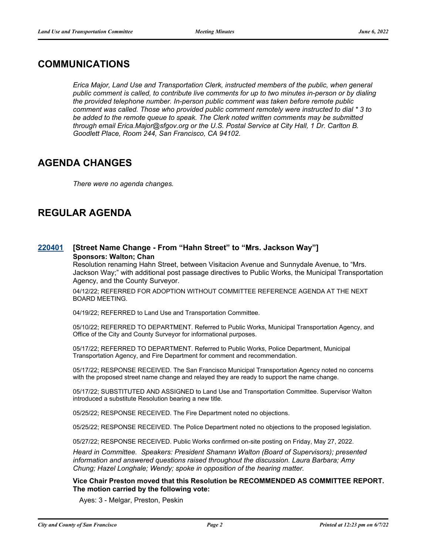## **COMMUNICATIONS**

*Erica Major, Land Use and Transportation Clerk, instructed members of the public, when general public comment is called, to contribute live comments for up to two minutes in-person or by dialing the provided telephone number. In-person public comment was taken before remote public comment was called. Those who provided public comment remotely were instructed to dial \* 3 to*  be added to the remote queue to speak. The Clerk noted written comments may be submitted *through email Erica.Major@sfgov.org or the U.S. Postal Service at City Hall, 1 Dr. Carlton B. Goodlett Place, Room 244, San Francisco, CA 94102.*

## **AGENDA CHANGES**

*There were no agenda changes.*

# **REGULAR AGENDA**

### **[220401](http://sfgov.legistar.com/gateway.aspx?m=l&id=38593) [Street Name Change - From "Hahn Street" to "Mrs. Jackson Way"] Sponsors: Walton; Chan**

Resolution renaming Hahn Street, between Visitacion Avenue and Sunnydale Avenue, to "Mrs. Jackson Way;" with additional post passage directives to Public Works, the Municipal Transportation Agency, and the County Surveyor.

04/12/22; REFERRED FOR ADOPTION WITHOUT COMMITTEE REFERENCE AGENDA AT THE NEXT BOARD MEETING.

04/19/22; REFERRED to Land Use and Transportation Committee.

05/10/22; REFERRED TO DEPARTMENT. Referred to Public Works, Municipal Transportation Agency, and Office of the City and County Surveyor for informational purposes.

05/17/22; REFERRED TO DEPARTMENT. Referred to Public Works, Police Department, Municipal Transportation Agency, and Fire Department for comment and recommendation.

05/17/22; RESPONSE RECEIVED. The San Francisco Municipal Transportation Agency noted no concerns with the proposed street name change and relayed they are ready to support the name change.

05/17/22; SUBSTITUTED AND ASSIGNED to Land Use and Transportation Committee. Supervisor Walton introduced a substitute Resolution bearing a new title.

05/25/22; RESPONSE RECEIVED. The Fire Department noted no objections.

05/25/22; RESPONSE RECEIVED. The Police Department noted no objections to the proposed legislation.

05/27/22; RESPONSE RECEIVED. Public Works confirmed on-site posting on Friday, May 27, 2022.

*Heard in Committee. Speakers: President Shamann Walton (Board of Supervisors); presented information and answered questions raised throughout the discussion. Laura Barbara; Amy Chung; Hazel Longhale; Wendy; spoke in opposition of the hearing matter.*

**Vice Chair Preston moved that this Resolution be RECOMMENDED AS COMMITTEE REPORT. The motion carried by the following vote:**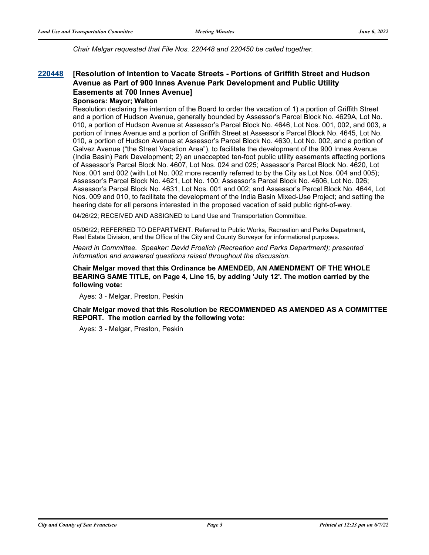*Chair Melgar requested that File Nos. 220448 and 220450 be called together.*

#### **[Resolution of Intention to Vacate Streets - Portions of Griffith Street and Hudson Avenue as Part of 900 Innes Avenue Park Development and Public Utility Easements at 700 Innes Avenue] [220448](http://sfgov.legistar.com/gateway.aspx?m=l&id=38640)**

**Sponsors: Mayor; Walton**

Resolution declaring the intention of the Board to order the vacation of 1) a portion of Griffith Street and a portion of Hudson Avenue, generally bounded by Assessor's Parcel Block No. 4629A, Lot No. 010, a portion of Hudson Avenue at Assessor's Parcel Block No. 4646, Lot Nos. 001, 002, and 003, a portion of Innes Avenue and a portion of Griffith Street at Assessor's Parcel Block No. 4645, Lot No. 010, a portion of Hudson Avenue at Assessor's Parcel Block No. 4630, Lot No. 002, and a portion of Galvez Avenue ("the Street Vacation Area"), to facilitate the development of the 900 Innes Avenue (India Basin) Park Development; 2) an unaccepted ten-foot public utility easements affecting portions of Assessor's Parcel Block No. 4607, Lot Nos. 024 and 025; Assessor's Parcel Block No. 4620, Lot Nos. 001 and 002 (with Lot No. 002 more recently referred to by the City as Lot Nos. 004 and 005); Assessor's Parcel Block No. 4621, Lot No. 100; Assessor's Parcel Block No. 4606, Lot No. 026; Assessor's Parcel Block No. 4631, Lot Nos. 001 and 002; and Assessor's Parcel Block No. 4644, Lot Nos. 009 and 010, to facilitate the development of the India Basin Mixed-Use Project; and setting the hearing date for all persons interested in the proposed vacation of said public right-of-way.

04/26/22; RECEIVED AND ASSIGNED to Land Use and Transportation Committee.

05/06/22; REFERRED TO DEPARTMENT. Referred to Public Works, Recreation and Parks Department, Real Estate Division, and the Office of the City and County Surveyor for informational purposes.

*Heard in Committee. Speaker: David Froelich (Recreation and Parks Department); presented information and answered questions raised throughout the discussion.*

**Chair Melgar moved that this Ordinance be AMENDED, AN AMENDMENT OF THE WHOLE BEARING SAME TITLE, on Page 4, Line 15, by adding 'July 12'. The motion carried by the following vote:**

Ayes: 3 - Melgar, Preston, Peskin

**Chair Melgar moved that this Resolution be RECOMMENDED AS AMENDED AS A COMMITTEE REPORT. The motion carried by the following vote:**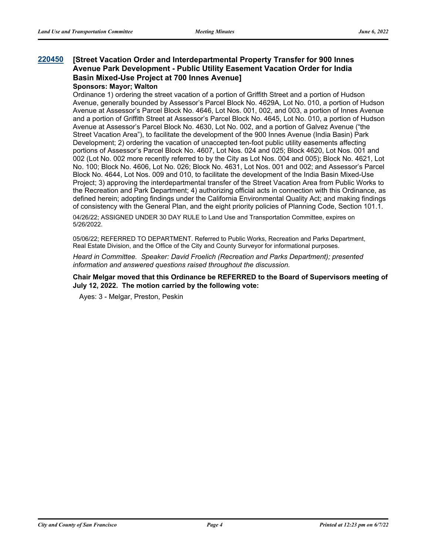### **[Street Vacation Order and Interdepartmental Property Transfer for 900 Innes Avenue Park Development - Public Utility Easement Vacation Order for India Basin Mixed-Use Project at 700 Innes Avenue] [220450](http://sfgov.legistar.com/gateway.aspx?m=l&id=38642)**

### **Sponsors: Mayor; Walton**

Ordinance 1) ordering the street vacation of a portion of Griffith Street and a portion of Hudson Avenue, generally bounded by Assessor's Parcel Block No. 4629A, Lot No. 010, a portion of Hudson Avenue at Assessor's Parcel Block No. 4646, Lot Nos. 001, 002, and 003, a portion of Innes Avenue and a portion of Griffith Street at Assessor's Parcel Block No. 4645, Lot No. 010, a portion of Hudson Avenue at Assessor's Parcel Block No. 4630, Lot No. 002, and a portion of Galvez Avenue ("the Street Vacation Area"), to facilitate the development of the 900 Innes Avenue (India Basin) Park Development; 2) ordering the vacation of unaccepted ten-foot public utility easements affecting portions of Assessor's Parcel Block No. 4607, Lot Nos. 024 and 025; Block 4620, Lot Nos. 001 and 002 (Lot No. 002 more recently referred to by the City as Lot Nos. 004 and 005); Block No. 4621, Lot No. 100; Block No. 4606, Lot No. 026; Block No. 4631, Lot Nos. 001 and 002; and Assessor's Parcel Block No. 4644, Lot Nos. 009 and 010, to facilitate the development of the India Basin Mixed-Use Project; 3) approving the interdepartmental transfer of the Street Vacation Area from Public Works to the Recreation and Park Department; 4) authorizing official acts in connection with this Ordinance, as defined herein; adopting findings under the California Environmental Quality Act; and making findings of consistency with the General Plan, and the eight priority policies of Planning Code, Section 101.1.

04/26/22; ASSIGNED UNDER 30 DAY RULE to Land Use and Transportation Committee, expires on 5/26/2022.

05/06/22; REFERRED TO DEPARTMENT. Referred to Public Works, Recreation and Parks Department, Real Estate Division, and the Office of the City and County Surveyor for informational purposes.

*Heard in Committee. Speaker: David Froelich (Recreation and Parks Department); presented information and answered questions raised throughout the discussion.*

**Chair Melgar moved that this Ordinance be REFERRED to the Board of Supervisors meeting of July 12, 2022. The motion carried by the following vote:**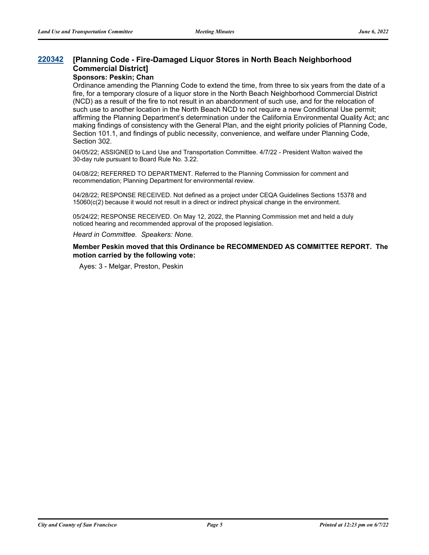#### **[Planning Code - Fire-Damaged Liquor Stores in North Beach Neighborhood Commercial District] [220342](http://sfgov.legistar.com/gateway.aspx?m=l&id=38534)**

### **Sponsors: Peskin; Chan**

Ordinance amending the Planning Code to extend the time, from three to six years from the date of a fire, for a temporary closure of a liquor store in the North Beach Neighborhood Commercial District (NCD) as a result of the fire to not result in an abandonment of such use, and for the relocation of such use to another location in the North Beach NCD to not require a new Conditional Use permit; affirming the Planning Department's determination under the California Environmental Quality Act; and making findings of consistency with the General Plan, and the eight priority policies of Planning Code, Section 101.1, and findings of public necessity, convenience, and welfare under Planning Code, Section 302.

04/05/22; ASSIGNED to Land Use and Transportation Committee. 4/7/22 - President Walton waived the 30-day rule pursuant to Board Rule No. 3.22.

04/08/22; REFERRED TO DEPARTMENT. Referred to the Planning Commission for comment and recommendation; Planning Department for environmental review.

04/28/22; RESPONSE RECEIVED. Not defined as a project under CEQA Guidelines Sections 15378 and 15060(c(2) because it would not result in a direct or indirect physical change in the environment.

05/24/22; RESPONSE RECEIVED. On May 12, 2022, the Planning Commission met and held a duly noticed hearing and recommended approval of the proposed legislation.

*Heard in Committee. Speakers: None.*

**Member Peskin moved that this Ordinance be RECOMMENDED AS COMMITTEE REPORT. The motion carried by the following vote:**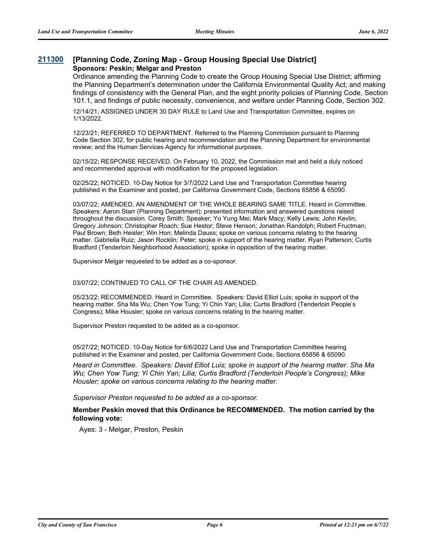### **[211300](http://sfgov.legistar.com/gateway.aspx?m=l&id=38170) [Planning Code, Zoning Map - Group Housing Special Use District] Sponsors: Peskin; Melgar and Preston**

Ordinance amending the Planning Code to create the Group Housing Special Use District; affirming the Planning Department's determination under the California Environmental Quality Act; and making findings of consistency with the General Plan, and the eight priority policies of Planning Code, Section 101.1, and findings of public necessity, convenience, and welfare under Planning Code, Section 302.

12/14/21; ASSIGNED UNDER 30 DAY RULE to Land Use and Transportation Committee, expires on 1/13/2022.

12/23/21; REFERRED TO DEPARTMENT. Referred to the Planning Commission pursuant to Planning Code Section 302, for public hearing and recommendation and the Planning Department for environmental review; and the Human Services Agency for informational purposes.

02/15/22; RESPONSE RECEIVED. On February 10, 2022, the Commission met and held a duly noticed and recommended approval with modification for the proposed legislation.

02/25/22; NOTICED. 10-Day Notice for 3/7/2022 Land Use and Transportation Committee hearing published in the Examiner and posted, per California Government Code, Sections 65856 & 65090.

03/07/22; AMENDED, AN AMENDMENT OF THE WHOLE BEARING SAME TITLE. Heard in Committee. Speakers: Aaron Starr (Planning Department); presented information and answered questions raised throughout the discussion. Corey Smith; Speaker; Yo Yung Mei; Mark Macy; Kelly Lewis; John Kevlin; Gregory Johnson; Christopher Roach; Sue Hestor; Steve Henson; Jonathan Randolph; Robert Fructman; Paul Brown; Beth Heisler; Win Hon; Melinda Dauss; spoke on various concerns relating to the hearing matter. Gabriella Ruiz; Jason Rocklin; Peter; spoke in support of the hearing matter. Ryan Patterson; Curtis Bradford (Tenderloin Neighborhood Association); spoke in opposition of the hearing matter.

Supervisor Melgar requested to be added as a co-sponsor.

03/07/22; CONTINUED TO CALL OF THE CHAIR AS AMENDED.

05/23/22; RECOMMENDED. Heard in Committee. Speakers: David Elliot Luis; spoke in support of the hearing matter. Sha Ma Wu; Chen Yow Tung; Yi Chin Yan; Lilia; Curtis Bradford (Tenderloin People's Congress); Mike Housler; spoke on various concerns relating to the hearing matter.

Supervisor Preston requested to be added as a co-sponsor.

05/27/22; NOTICED. 10-Day Notice for 6/6/2022 Land Use and Transportation Committee hearing published in the Examiner and posted, per California Government Code, Sections 65856 & 65090.

*Heard in Committee. Speakers: David Elliot Luis; spoke in support of the hearing matter. Sha Ma Wu; Chen Yow Tung; Yi Chin Yan; Lilia; Curtis Bradford (Tenderloin People's Congress); Mike Housler; spoke on various concerns relating to the hearing matter.*

*Supervisor Preston requested to be added as a co-sponsor.*

**Member Peskin moved that this Ordinance be RECOMMENDED. The motion carried by the following vote:**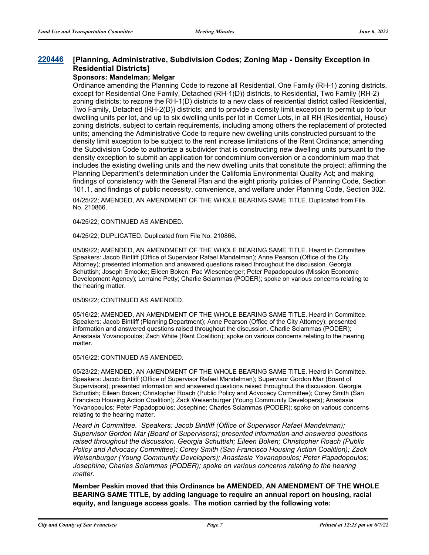#### **[Planning, Administrative, Subdivision Codes; Zoning Map - Density Exception in Residential Districts] [220446](http://sfgov.legistar.com/gateway.aspx?m=l&id=38638)**

### **Sponsors: Mandelman; Melgar**

Ordinance amending the Planning Code to rezone all Residential, One Family (RH-1) zoning districts, except for Residential One Family, Detached (RH-1(D)) districts, to Residential, Two Family (RH-2) zoning districts; to rezone the RH-1(D) districts to a new class of residential district called Residential, Two Family, Detached (RH-2(D)) districts; and to provide a density limit exception to permit up to four dwelling units per lot, and up to six dwelling units per lot in Corner Lots, in all RH (Residential, House) zoning districts, subject to certain requirements, including among others the replacement of protected units; amending the Administrative Code to require new dwelling units constructed pursuant to the density limit exception to be subject to the rent increase limitations of the Rent Ordinance; amending the Subdivision Code to authorize a subdivider that is constructing new dwelling units pursuant to the density exception to submit an application for condominium conversion or a condominium map that includes the existing dwelling units and the new dwelling units that constitute the project; affirming the Planning Department's determination under the California Environmental Quality Act; and making findings of consistency with the General Plan and the eight priority policies of Planning Code, Section 101.1, and findings of public necessity, convenience, and welfare under Planning Code, Section 302.

04/25/22; AMENDED, AN AMENDMENT OF THE WHOLE BEARING SAME TITLE. Duplicated from File No. 210866.

04/25/22; CONTINUED AS AMENDED.

04/25/22; DUPLICATED. Duplicated from File No. 210866.

05/09/22; AMENDED, AN AMENDMENT OF THE WHOLE BEARING SAME TITLE. Heard in Committee. Speakers: Jacob Bintliff (Office of Supervisor Rafael Mandelman); Anne Pearson (Office of the City Attorney); presented information and answered questions raised throughout the discussion. Georgia Schuttish; Joseph Smooke; Eileen Boken; Pac Wiesenberger; Peter Papadopoulos (Mission Economic Development Agency); Lorraine Petty; Charlie Sciammas (PODER); spoke on various concerns relating to the hearing matter.

05/09/22; CONTINUED AS AMENDED.

05/16/22; AMENDED, AN AMENDMENT OF THE WHOLE BEARING SAME TITLE. Heard in Committee. Speakers: Jacob Bintliff (Planning Department); Anne Pearson (Office of the City Attorney); presented information and answered questions raised throughout the discussion. Charlie Sciammas (PODER); Anastasia Yovanopoulos; Zach White (Rent Coalition); spoke on various concerns relating to the hearing matter.

05/16/22; CONTINUED AS AMENDED.

05/23/22; AMENDED, AN AMENDMENT OF THE WHOLE BEARING SAME TITLE. Heard in Committee. Speakers: Jacob Bintliff (Office of Supervisor Rafael Mandelman); Supervisor Gordon Mar (Board of Supervisors); presented information and answered questions raised throughout the discussion. Georgia Schuttish; Eileen Boken; Christopher Roach (Public Policy and Advocacy Committee); Corey Smith (San Francisco Housing Action Coalition); Zack Weisenburger (Young Community Developers); Anastasia Yovanopoulos; Peter Papadopoulos; Josephine; Charles Sciammas (PODER); spoke on various concerns relating to the hearing matter.

*Heard in Committee. Speakers: Jacob Bintliff (Office of Supervisor Rafael Mandelman); Supervisor Gordon Mar (Board of Supervisors); presented information and answered questions raised throughout the discussion. Georgia Schuttish; Eileen Boken; Christopher Roach (Public Policy and Advocacy Committee); Corey Smith (San Francisco Housing Action Coalition); Zack Weisenburger (Young Community Developers); Anastasia Yovanopoulos; Peter Papadopoulos; Josephine; Charles Sciammas (PODER); spoke on various concerns relating to the hearing matter.*

**Member Peskin moved that this Ordinance be AMENDED, AN AMENDMENT OF THE WHOLE BEARING SAME TITLE, by adding language to require an annual report on housing, racial equity, and language access goals. The motion carried by the following vote:**